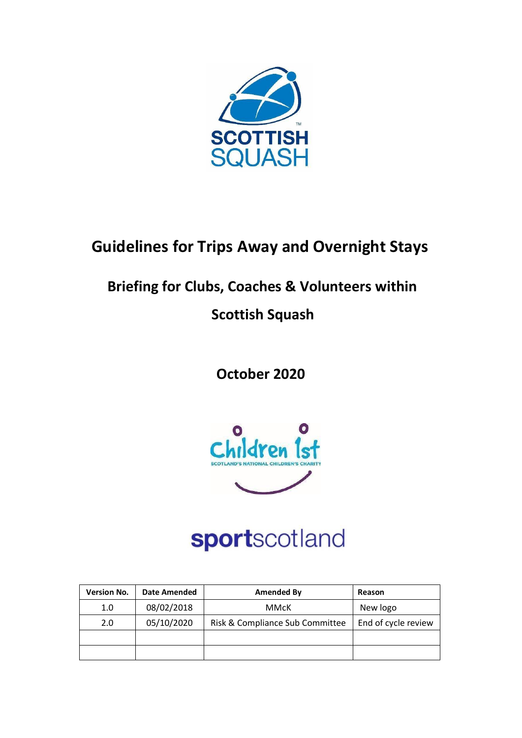

## **Guidelines for Trips Away and Overnight Stays**

## **Briefing for Clubs, Coaches & Volunteers within**

### **Scottish Squash**

**October 2020**



# sportscotland

| <b>Version No.</b> | <b>Date Amended</b> | Amended By                      | Reason              |
|--------------------|---------------------|---------------------------------|---------------------|
| 1.0                | 08/02/2018          | MMcK                            | New logo            |
| 2.0                | 05/10/2020          | Risk & Compliance Sub Committee | End of cycle review |
|                    |                     |                                 |                     |
|                    |                     |                                 |                     |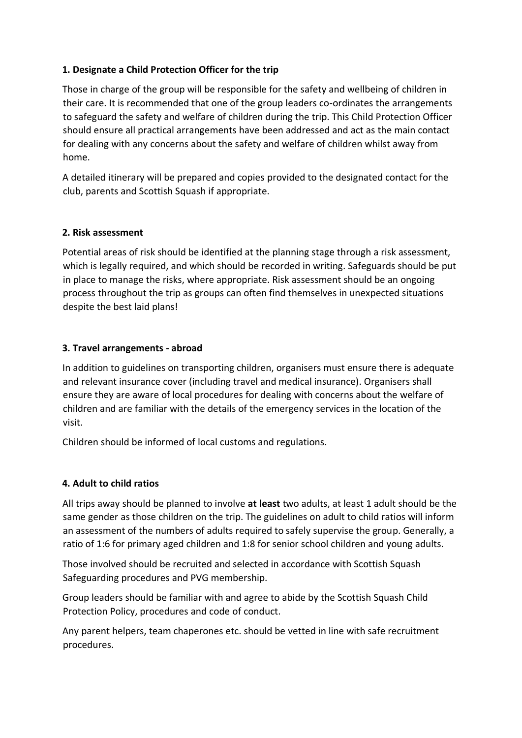#### **1. Designate a Child Protection Officer for the trip**

Those in charge of the group will be responsible for the safety and wellbeing of children in their care. It is recommended that one of the group leaders co-ordinates the arrangements to safeguard the safety and welfare of children during the trip. This Child Protection Officer should ensure all practical arrangements have been addressed and act as the main contact for dealing with any concerns about the safety and welfare of children whilst away from home.

A detailed itinerary will be prepared and copies provided to the designated contact for the club, parents and Scottish Squash if appropriate.

#### **2. Risk assessment**

Potential areas of risk should be identified at the planning stage through a risk assessment, which is legally required, and which should be recorded in writing. Safeguards should be put in place to manage the risks, where appropriate. Risk assessment should be an ongoing process throughout the trip as groups can often find themselves in unexpected situations despite the best laid plans!

#### **3. Travel arrangements - abroad**

In addition to guidelines on transporting children, organisers must ensure there is adequate and relevant insurance cover (including travel and medical insurance). Organisers shall ensure they are aware of local procedures for dealing with concerns about the welfare of children and are familiar with the details of the emergency services in the location of the visit.

Children should be informed of local customs and regulations.

#### **4. Adult to child ratios**

All trips away should be planned to involve **at least** two adults, at least 1 adult should be the same gender as those children on the trip. The guidelines on adult to child ratios will inform an assessment of the numbers of adults required to safely supervise the group. Generally, a ratio of 1:6 for primary aged children and 1:8 for senior school children and young adults.

Those involved should be recruited and selected in accordance with Scottish Squash Safeguarding procedures and PVG membership.

Group leaders should be familiar with and agree to abide by the Scottish Squash Child Protection Policy, procedures and code of conduct.

Any parent helpers, team chaperones etc. should be vetted in line with safe recruitment procedures.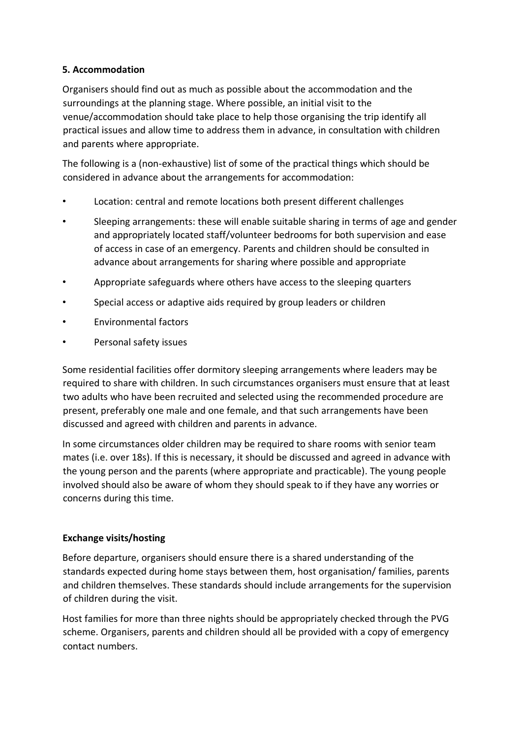#### **5. Accommodation**

Organisers should find out as much as possible about the accommodation and the surroundings at the planning stage. Where possible, an initial visit to the venue/accommodation should take place to help those organising the trip identify all practical issues and allow time to address them in advance, in consultation with children and parents where appropriate.

The following is a (non-exhaustive) list of some of the practical things which should be considered in advance about the arrangements for accommodation:

- Location: central and remote locations both present different challenges
- Sleeping arrangements: these will enable suitable sharing in terms of age and gender and appropriately located staff/volunteer bedrooms for both supervision and ease of access in case of an emergency. Parents and children should be consulted in advance about arrangements for sharing where possible and appropriate
- Appropriate safeguards where others have access to the sleeping quarters
- Special access or adaptive aids required by group leaders or children
- Environmental factors
- Personal safety issues

Some residential facilities offer dormitory sleeping arrangements where leaders may be required to share with children. In such circumstances organisers must ensure that at least two adults who have been recruited and selected using the recommended procedure are present, preferably one male and one female, and that such arrangements have been discussed and agreed with children and parents in advance.

In some circumstances older children may be required to share rooms with senior team mates (i.e. over 18s). If this is necessary, it should be discussed and agreed in advance with the young person and the parents (where appropriate and practicable). The young people involved should also be aware of whom they should speak to if they have any worries or concerns during this time.

#### **Exchange visits/hosting**

Before departure, organisers should ensure there is a shared understanding of the standards expected during home stays between them, host organisation/ families, parents and children themselves. These standards should include arrangements for the supervision of children during the visit.

Host families for more than three nights should be appropriately checked through the PVG scheme. Organisers, parents and children should all be provided with a copy of emergency contact numbers.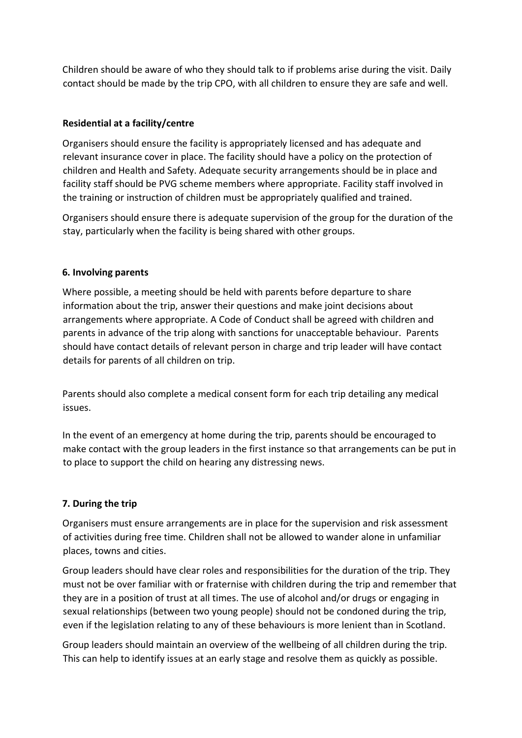Children should be aware of who they should talk to if problems arise during the visit. Daily contact should be made by the trip CPO, with all children to ensure they are safe and well.

#### **Residential at a facility/centre**

Organisers should ensure the facility is appropriately licensed and has adequate and relevant insurance cover in place. The facility should have a policy on the protection of children and Health and Safety. Adequate security arrangements should be in place and facility staff should be PVG scheme members where appropriate. Facility staff involved in the training or instruction of children must be appropriately qualified and trained.

Organisers should ensure there is adequate supervision of the group for the duration of the stay, particularly when the facility is being shared with other groups.

#### **6. Involving parents**

Where possible, a meeting should be held with parents before departure to share information about the trip, answer their questions and make joint decisions about arrangements where appropriate. A Code of Conduct shall be agreed with children and parents in advance of the trip along with sanctions for unacceptable behaviour. Parents should have contact details of relevant person in charge and trip leader will have contact details for parents of all children on trip.

Parents should also complete a medical consent form for each trip detailing any medical issues.

In the event of an emergency at home during the trip, parents should be encouraged to make contact with the group leaders in the first instance so that arrangements can be put in to place to support the child on hearing any distressing news.

#### **7. During the trip**

Organisers must ensure arrangements are in place for the supervision and risk assessment of activities during free time. Children shall not be allowed to wander alone in unfamiliar places, towns and cities.

Group leaders should have clear roles and responsibilities for the duration of the trip. They must not be over familiar with or fraternise with children during the trip and remember that they are in a position of trust at all times. The use of alcohol and/or drugs or engaging in sexual relationships (between two young people) should not be condoned during the trip, even if the legislation relating to any of these behaviours is more lenient than in Scotland.

Group leaders should maintain an overview of the wellbeing of all children during the trip. This can help to identify issues at an early stage and resolve them as quickly as possible.